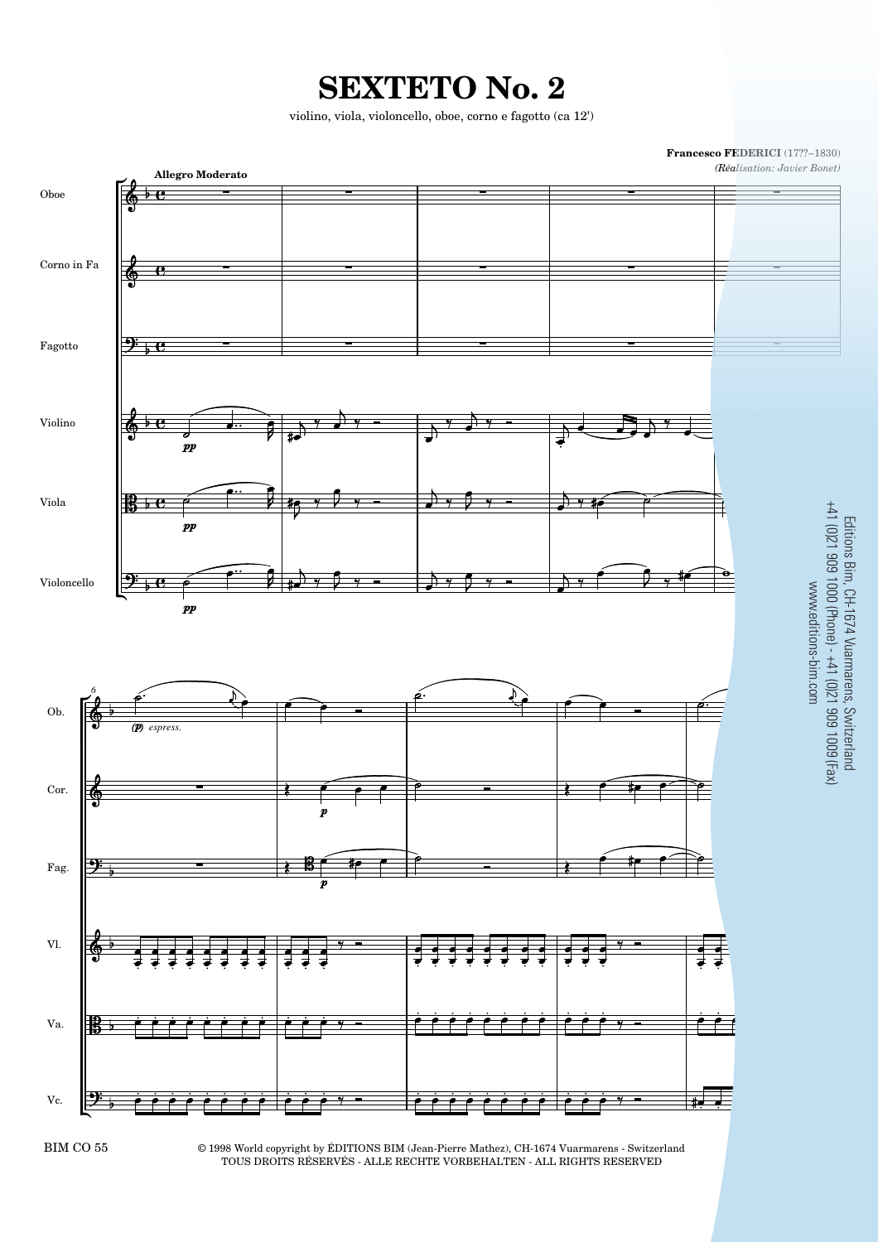## **SEXTETO No. 2**

violino, viola, violoncello, oboe, corno e fagotto (ca 12')

**Francesco FEDERICI** (17??−1830)

Editions Bim, CH-1674 Vuarmarens, Switzerland



© 1998 World copyright by ÉDITIONS BIM (Jean-Pierre Mathez), CH-1674 Vuarmarens - Switzerland TOUS DROITS RÉSERVÉS - ALLE RECHTE VORBEHALTEN - ALL RIGHTS RESERVED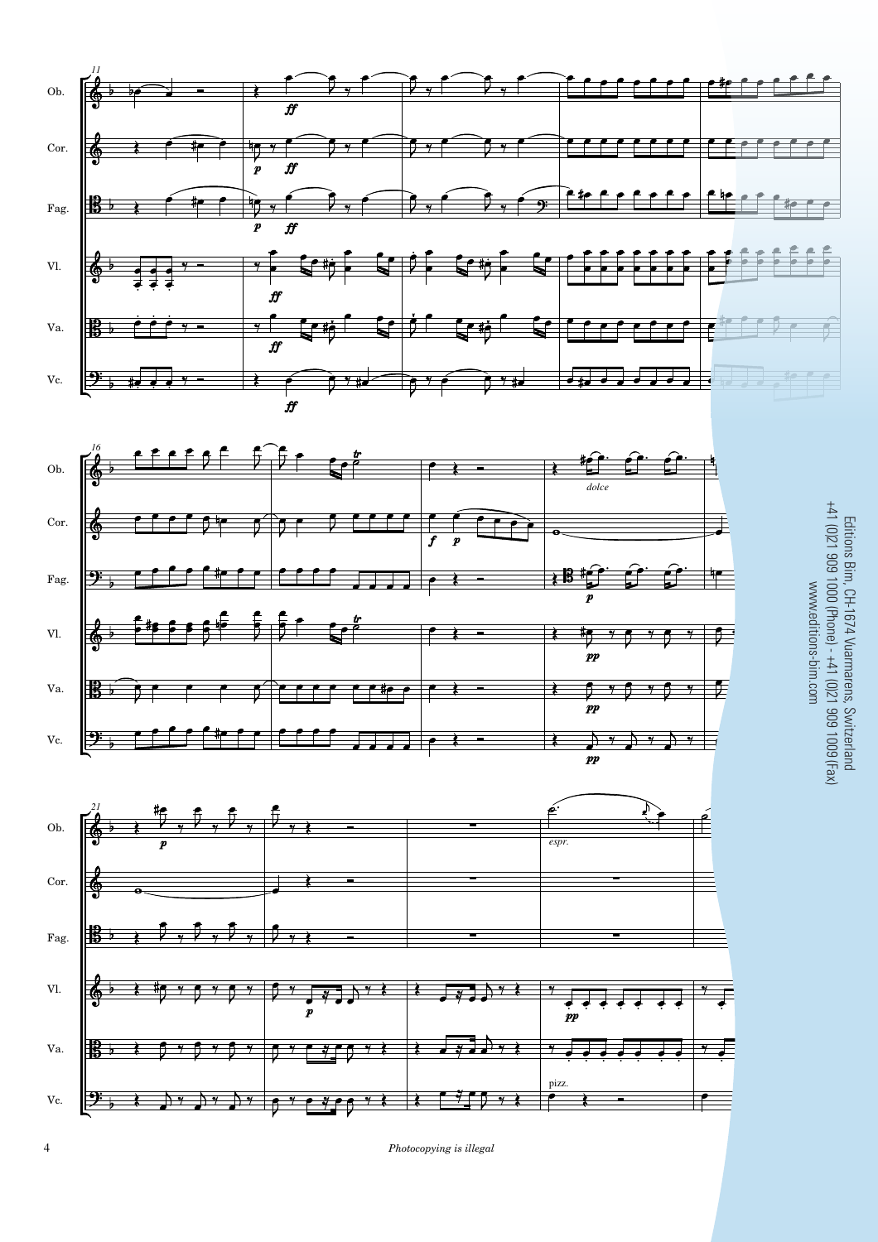





Editions Bim, CH-1674 Vuarmarens, Switzerland<br>+41 (0)21 909 1000 (Phone) - +41 (0)21 909 1009 (Fax) +41 (0)21 909 1000 (Phone) - +41 (0)21 909 1009 (Fax) Editions Bim, CH-1674 Vuarmarens, Switzerland www.editions-bim.com www.editions-bim.com

 $4$  *Photocopying is illegal*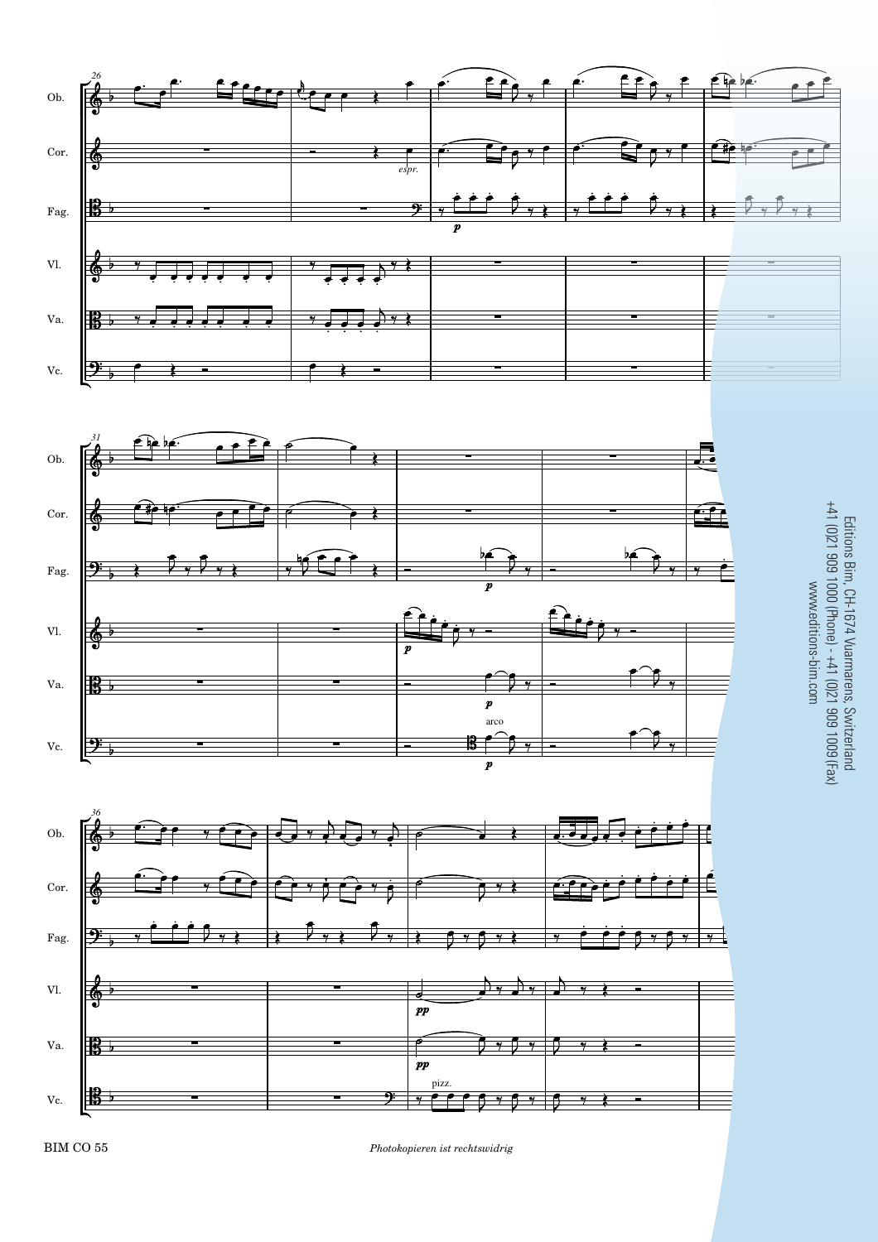

BIM CO 55 *Photokopieren ist rechtswidrig* 5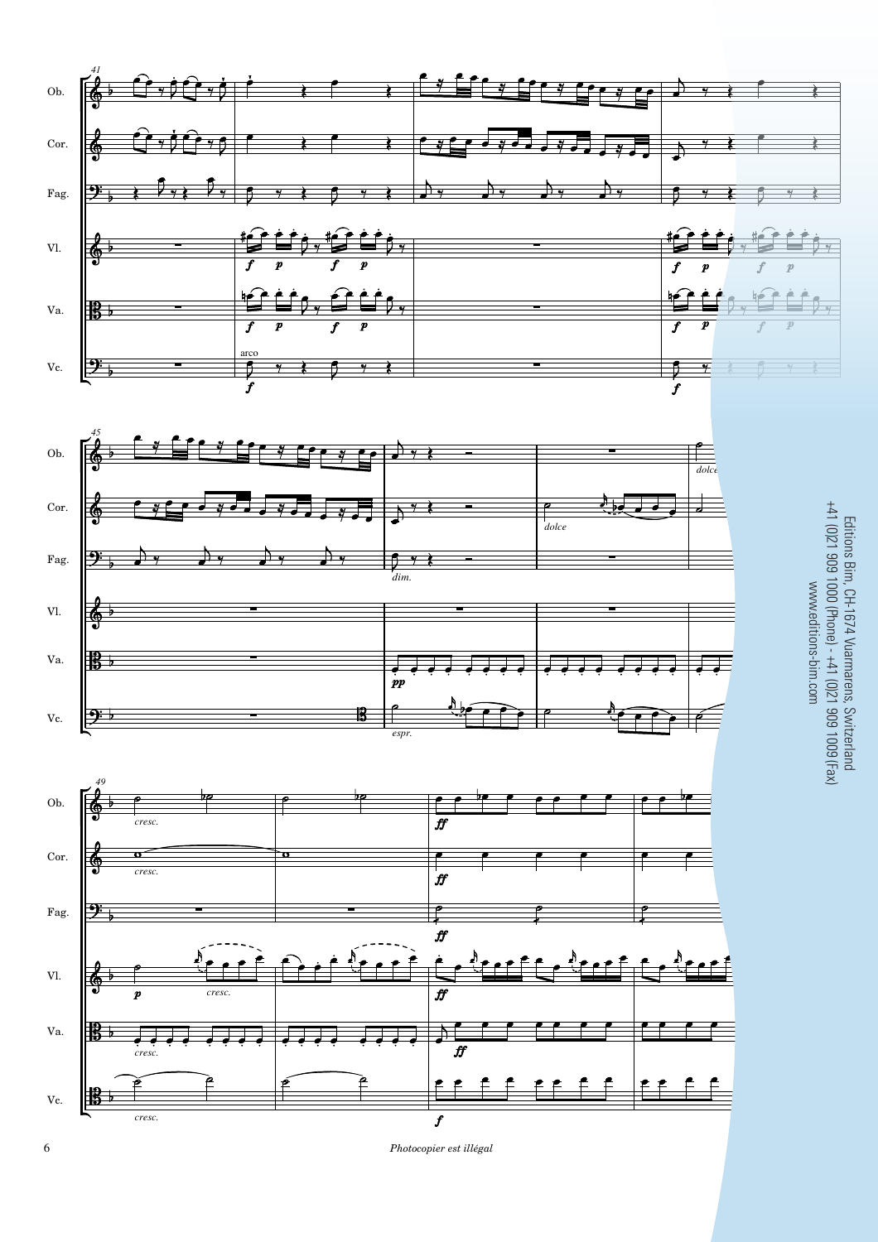

*cresc.*

6

 $\boldsymbol{f}$  $Photocopier$  est illégal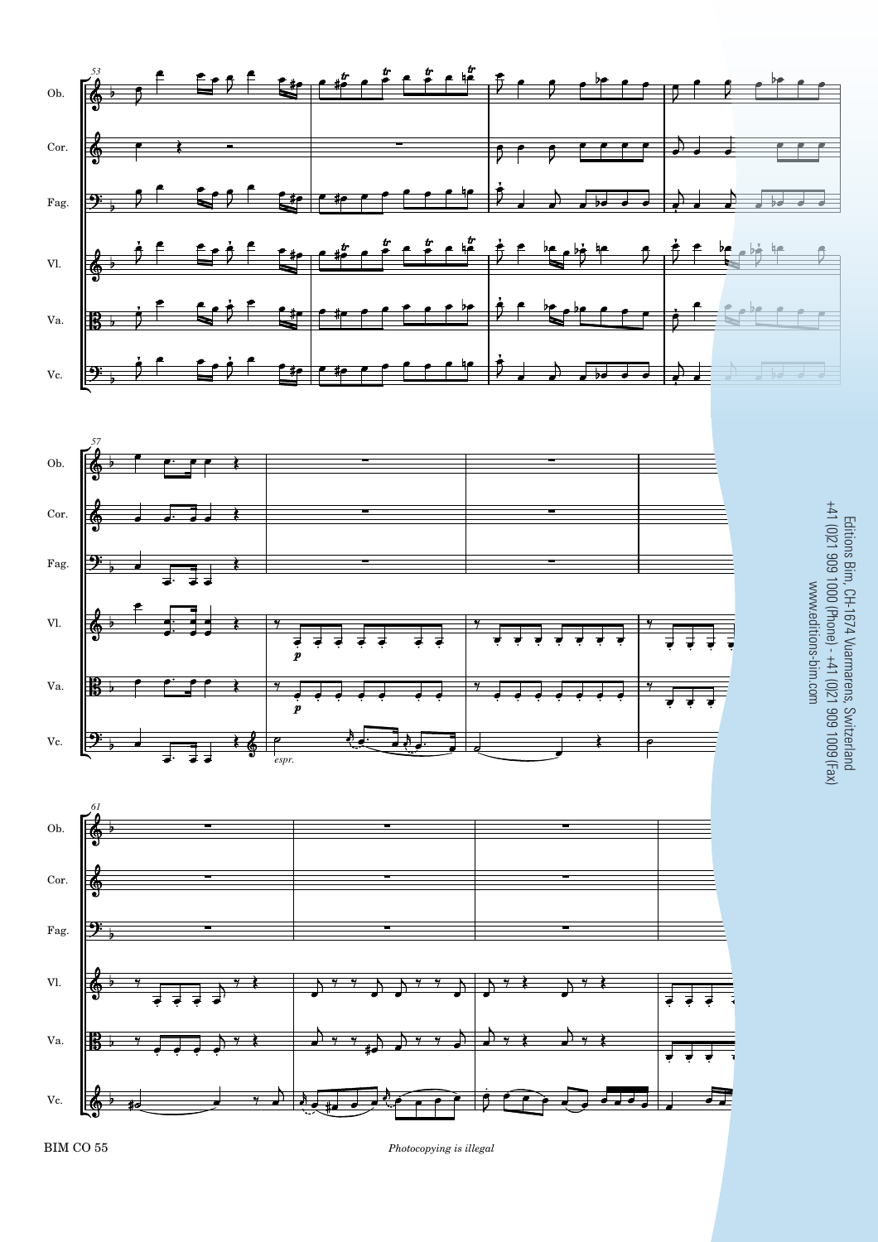

BIM CO 55 *Photocopying is illegal* 7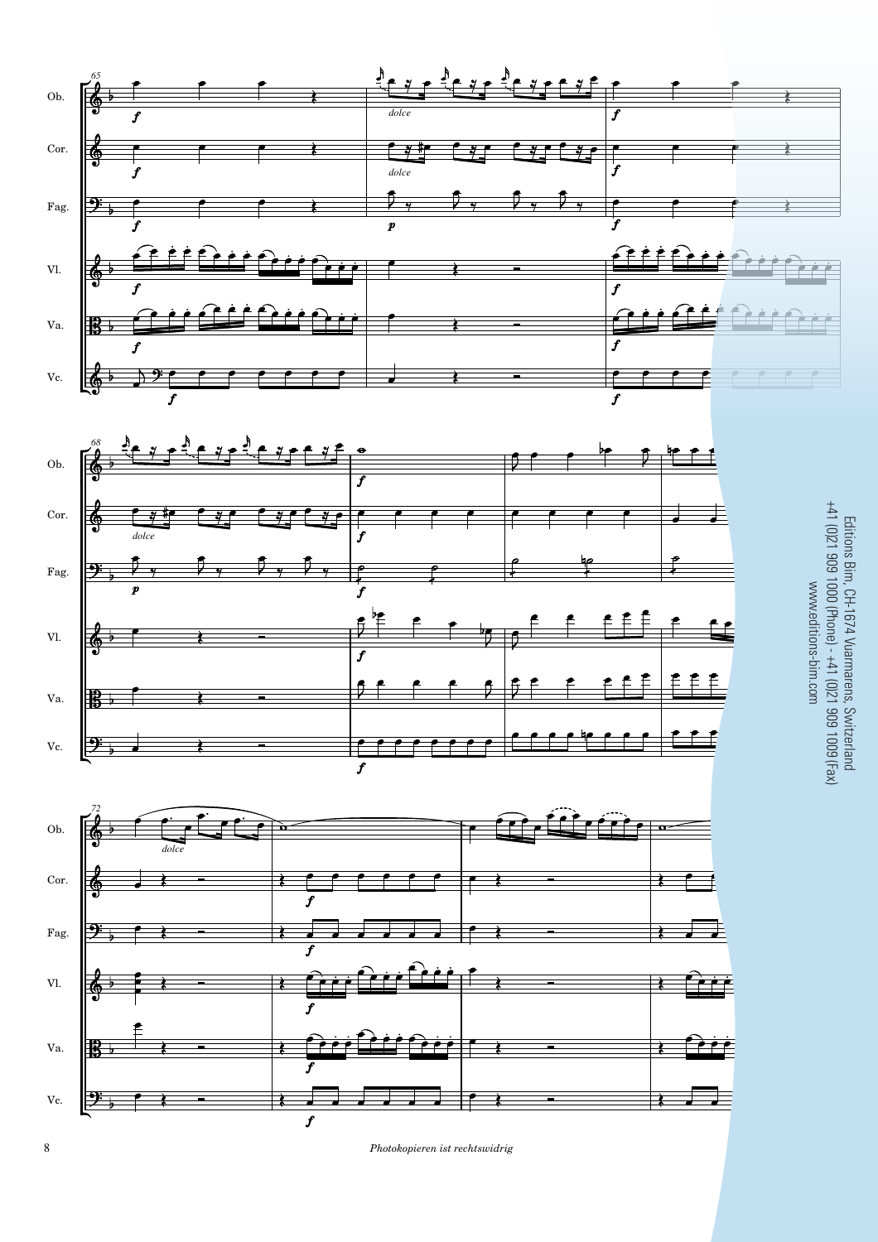

 $Photokopieren$  ist rechtswidrig

8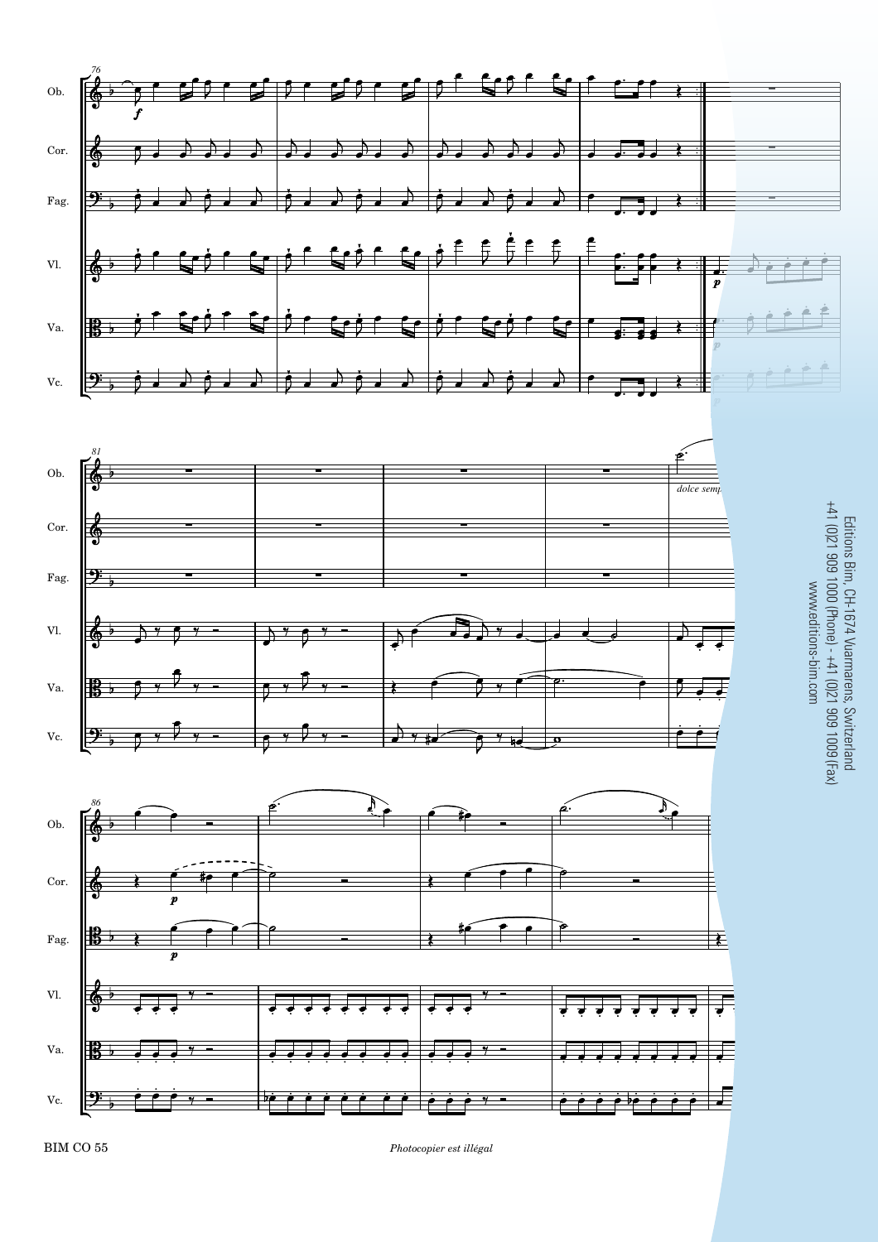